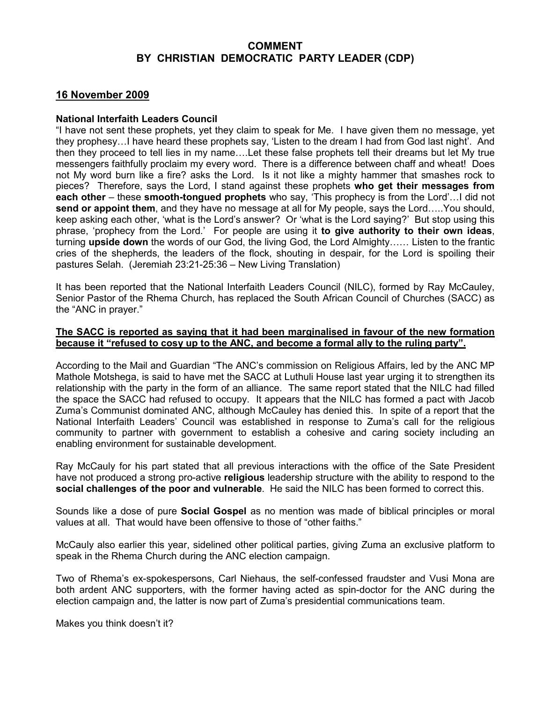## COMMENT BY CHRISTIAN DEMOCRATIC PARTY LEADER (CDP)

# 16 November 2009

#### National Interfaith Leaders Council

"I have not sent these prophets, yet they claim to speak for Me. I have given them no message, yet they prophesy…I have heard these prophets say, 'Listen to the dream I had from God last night'. And then they proceed to tell lies in my name….Let these false prophets tell their dreams but let My true messengers faithfully proclaim my every word. There is a difference between chaff and wheat! Does not My word burn like a fire? asks the Lord. Is it not like a mighty hammer that smashes rock to pieces? Therefore, says the Lord, I stand against these prophets who get their messages from each other – these smooth-tongued prophets who say, 'This prophecy is from the Lord'... I did not send or appoint them, and they have no message at all for My people, says the Lord…..You should, keep asking each other, 'what is the Lord's answer? Or 'what is the Lord saying?' But stop using this phrase, 'prophecy from the Lord.' For people are using it to give authority to their own ideas, turning upside down the words of our God, the living God, the Lord Almighty…… Listen to the frantic cries of the shepherds, the leaders of the flock, shouting in despair, for the Lord is spoiling their pastures Selah. (Jeremiah 23:21-25:36 – New Living Translation)

It has been reported that the National Interfaith Leaders Council (NILC), formed by Ray McCauley, Senior Pastor of the Rhema Church, has replaced the South African Council of Churches (SACC) as the "ANC in prayer."

#### The SACC is reported as saying that it had been marginalised in favour of the new formation because it "refused to cosy up to the ANC, and become a formal ally to the ruling party".

According to the Mail and Guardian "The ANC's commission on Religious Affairs, led by the ANC MP Mathole Motshega, is said to have met the SACC at Luthuli House last year urging it to strengthen its relationship with the party in the form of an alliance. The same report stated that the NILC had filled the space the SACC had refused to occupy. It appears that the NILC has formed a pact with Jacob Zuma's Communist dominated ANC, although McCauley has denied this. In spite of a report that the National Interfaith Leaders' Council was established in response to Zuma's call for the religious community to partner with government to establish a cohesive and caring society including an enabling environment for sustainable development.

Ray McCauly for his part stated that all previous interactions with the office of the Sate President have not produced a strong pro-active religious leadership structure with the ability to respond to the social challenges of the poor and vulnerable. He said the NILC has been formed to correct this.

Sounds like a dose of pure **Social Gospel** as no mention was made of biblical principles or moral values at all. That would have been offensive to those of "other faiths."

McCauly also earlier this year, sidelined other political parties, giving Zuma an exclusive platform to speak in the Rhema Church during the ANC election campaign.

Two of Rhema's ex-spokespersons, Carl Niehaus, the self-confessed fraudster and Vusi Mona are both ardent ANC supporters, with the former having acted as spin-doctor for the ANC during the election campaign and, the latter is now part of Zuma's presidential communications team.

Makes you think doesn't it?